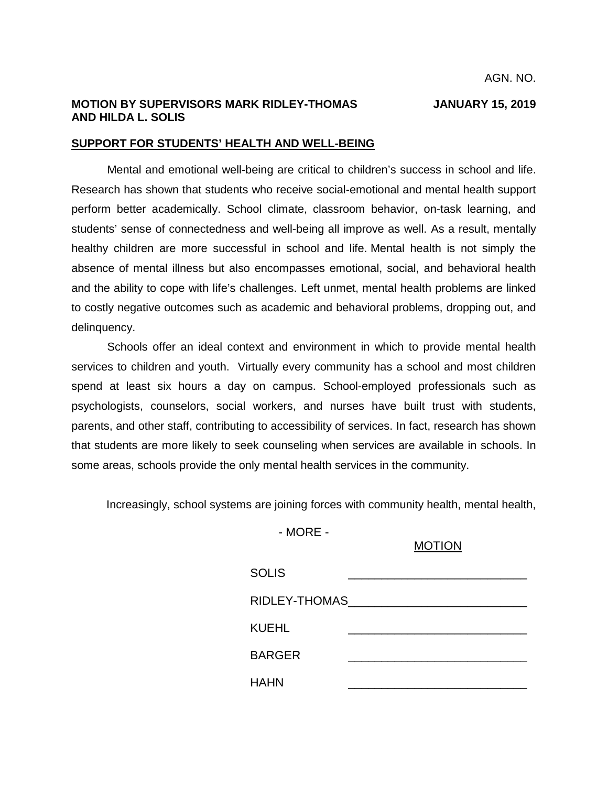## **MOTION BY SUPERVISORS MARK RIDLEY-THOMAS JANUARY 15, 2019 AND HILDA L. SOLIS**

#### **SUPPORT FOR STUDENTS' HEALTH AND WELL-BEING**

Mental and emotional well-being are critical to children's success in school and life. Research has shown that students who receive social-emotional and mental health support perform better academically. School climate, classroom behavior, on-task learning, and students' sense of connectedness and well-being all improve as well. As a result, mentally healthy children are more successful in school and life. Mental health is not simply the absence of mental illness but also encompasses emotional, social, and behavioral health and the ability to cope with life's challenges. Left unmet, mental health problems are linked to costly negative outcomes such as academic and behavioral problems, dropping out, and delinquency.

Schools offer an ideal context and environment in which to provide mental health services to children and youth. Virtually every community has a school and most children spend at least six hours a day on campus. School-employed professionals such as psychologists, counselors, social workers, and nurses have built trust with students, parents, and other staff, contributing to accessibility of services. In fact, research has shown that students are more likely to seek counseling when services are available in schools. In some areas, schools provide the only mental health services in the community.

Increasingly, school systems are joining forces with community health, mental health,

- MORE -

### MOTION

| <b>SOLIS</b>  |  |
|---------------|--|
| RIDLEY-THOMAS |  |
| KUEHL         |  |
| <b>BARGER</b> |  |
| HAHN          |  |